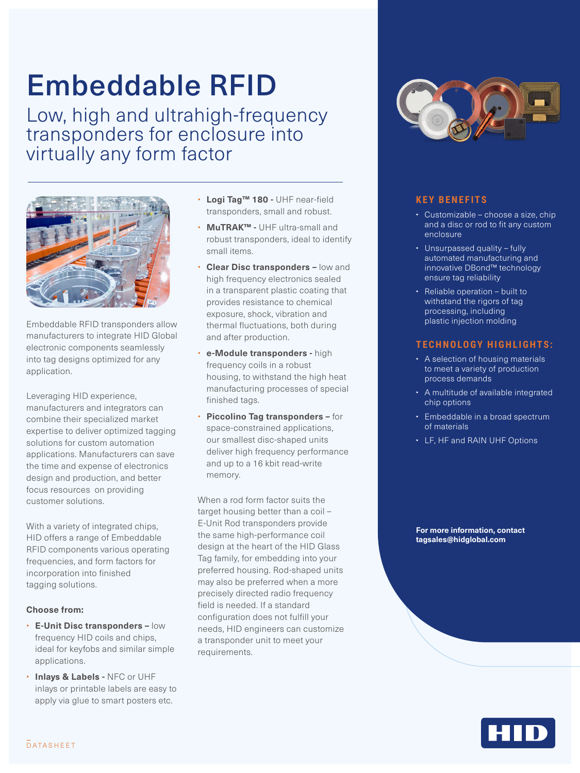# Embeddable RFID

Low, high and ultrahigh-frequency transponders for enclosure into virtually any form factor



Embeddable RFID transponders allow manufacturers to integrate HID Global electronic components seamlessly into tag designs optimized for any application.

Leveraging HID experience, manufacturers and integrators can combine their specialized market expertise to deliver optimized tagging solutions for custom automation applications. Manufacturers can save the time and expense of electronics design and production, and better focus resources on providing customer solutions.

With a variety of integrated chips, HID offers a range of Embeddable RFID components various operating frequencies, and form factors for incorporation into finished tagging solutions.

#### **Choose from:**

- **E-Unit Disc transponders –** low frequency HID coils and chips, ideal for keyfobs and similar simple applications.
- **Inlays & Labels -** NFC or UHF inlays or printable labels are easy to apply via glue to smart posters etc.
- **Logi Tag™ 180 -** UHF near-field transponders, small and robust.
- **MuTRAK™ -** UHF ultra-small and robust transponders, ideal to identify small items.
- **Clear Disc transponders low and** high frequency electronics sealed in a transparent plastic coating that provides resistance to chemical exposure, shock, vibration and thermal fluctuations, both during and after production.
- **e-Module transponders -** high frequency coils in a robust housing, to withstand the high heat manufacturing processes of special finished tags.
- **Piccolino Tag transponders –** for space-constrained applications, our smallest disc-shaped units deliver high frequency performance and up to a 16 kbit read-write memory.

When a rod form factor suits the target housing better than a coil – E-Unit Rod transponders provide the same high-performance coil design at the heart of the HID Glass Tag family, for embedding into your preferred housing. Rod-shaped units may also be preferred when a more precisely directed radio frequency field is needed. If a standard configuration does not fulfill your needs, HID engineers can customize a transponder unit to meet your requirements.



### **KEY BENEFITS**

- Customizable choose a size, chip and a disc or rod to fit any custom enclosure
- Unsurpassed quality fully automated manufacturing and innovative DBond™ technology ensure tag reliability
- Reliable operation built to withstand the rigors of tag processing, including plastic injection molding

#### **TECHNOLOGY HIGHLIGHTS:**

- A selection of housing materials to meet a variety of production process demands
- A multitude of available integrated chip options
- Embeddable in a broad spectrum of materials
- LF, HF and RAIN UHF Options

**For more information, contact [tagsales@hidglobal.com](mailto:tagsales%40hidglobal.com?subject=)**

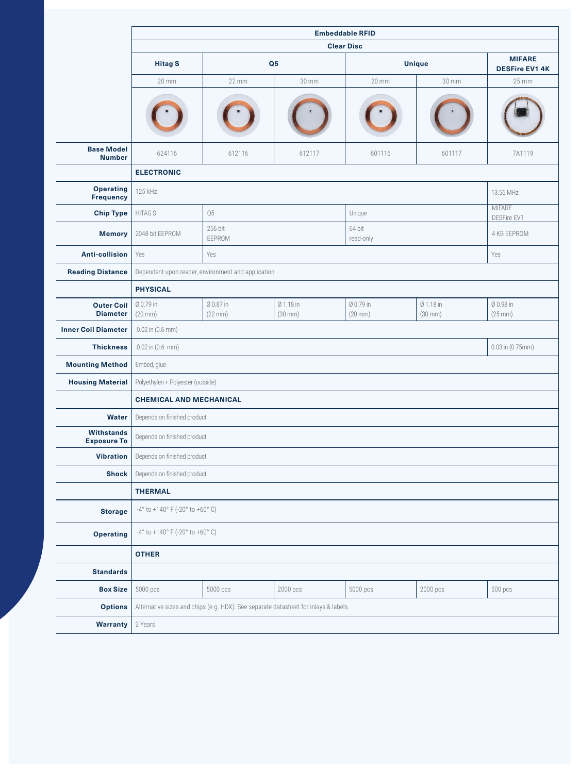|                                         | <b>Embeddable RFID</b>                                               |                                                                                     |                           |                                |                           |                                        |  |  |  |  |  |
|-----------------------------------------|----------------------------------------------------------------------|-------------------------------------------------------------------------------------|---------------------------|--------------------------------|---------------------------|----------------------------------------|--|--|--|--|--|
|                                         |                                                                      |                                                                                     |                           | <b>Clear Disc</b>              |                           |                                        |  |  |  |  |  |
|                                         | <b>Hitag S</b>                                                       |                                                                                     | Q <sub>5</sub>            |                                | <b>Unique</b>             | <b>MIFARE</b><br><b>DESFire EV1 4K</b> |  |  |  |  |  |
|                                         | 20 mm                                                                | 22 mm                                                                               | 30 mm                     | 20 mm                          | 30 mm                     | 25 mm                                  |  |  |  |  |  |
|                                         |                                                                      |                                                                                     |                           |                                |                           |                                        |  |  |  |  |  |
| <b>Base Model</b><br><b>Number</b>      | 624116                                                               | 612116                                                                              | 612117                    | 601116                         | 601117                    | 7A1119                                 |  |  |  |  |  |
|                                         | <b>ELECTRONIC</b>                                                    |                                                                                     |                           |                                |                           |                                        |  |  |  |  |  |
| <b>Operating</b><br>Frequency           | 125 kHz<br>13.56 MHz                                                 |                                                                                     |                           |                                |                           |                                        |  |  |  |  |  |
| <b>Chip Type</b>                        | <b>HITAG S</b>                                                       | Q5                                                                                  |                           | Unique                         |                           | <b>MIFARE</b><br>DESFire EV1           |  |  |  |  |  |
| <b>Memory</b>                           | 2048 bit EEPROM                                                      | 256 bit<br>EEPROM                                                                   |                           | 64 bit<br>read-only            | 4 KB EEPROM               |                                        |  |  |  |  |  |
| <b>Anti-collision</b>                   | Yes                                                                  | Yes                                                                                 |                           |                                |                           |                                        |  |  |  |  |  |
| <b>Reading Distance</b>                 | Dependent upon reader, environment and application                   |                                                                                     |                           |                                |                           |                                        |  |  |  |  |  |
|                                         | <b>PHYSICAL</b>                                                      |                                                                                     |                           |                                |                           |                                        |  |  |  |  |  |
| <b>Outer Coil</b><br><b>Diameter</b>    | Ø 0.79 in<br>$(20$ mm $)$                                            | Ø 0.87 in<br>(22 mm)                                                                | Ø 1.18 in<br>$(30$ mm $)$ | Ø 0.79 in<br>$(20 \text{ mm})$ | Ø 1.18 in<br>$(30$ mm $)$ | Ø 0.98 in<br>(25 mm)                   |  |  |  |  |  |
| <b>Inner Coil Diameter</b>              | $0.02$ in $(0.6$ mm)                                                 |                                                                                     |                           |                                |                           |                                        |  |  |  |  |  |
| <b>Thickness</b>                        | $0.03$ in $(0.75$ mm)<br>$0.02$ in $(0.6$ mm)                        |                                                                                     |                           |                                |                           |                                        |  |  |  |  |  |
| <b>Mounting Method</b>                  | Embed, glue                                                          |                                                                                     |                           |                                |                           |                                        |  |  |  |  |  |
| <b>Housing Material</b>                 | Polyethylen + Polyester (outside)                                    |                                                                                     |                           |                                |                           |                                        |  |  |  |  |  |
|                                         |                                                                      | <b>CHEMICAL AND MECHANICAL</b>                                                      |                           |                                |                           |                                        |  |  |  |  |  |
| <b>Water</b>                            | Depends on finished product                                          |                                                                                     |                           |                                |                           |                                        |  |  |  |  |  |
| <b>Withstands</b><br><b>Exposure To</b> |                                                                      | Depends on finished product                                                         |                           |                                |                           |                                        |  |  |  |  |  |
| <b>Vibration</b>                        | Depends on finished product                                          |                                                                                     |                           |                                |                           |                                        |  |  |  |  |  |
| <b>Shock</b>                            | Depends on finished product                                          |                                                                                     |                           |                                |                           |                                        |  |  |  |  |  |
|                                         | <b>THERMAL</b>                                                       |                                                                                     |                           |                                |                           |                                        |  |  |  |  |  |
| <b>Storage</b>                          | $-4^{\circ}$ to $+140^{\circ}$ F ( $-20^{\circ}$ to $+60^{\circ}$ C) |                                                                                     |                           |                                |                           |                                        |  |  |  |  |  |
| <b>Operating</b>                        | $-4^{\circ}$ to $+140^{\circ}$ F ( $-20^{\circ}$ to $+60^{\circ}$ C) |                                                                                     |                           |                                |                           |                                        |  |  |  |  |  |
|                                         | <b>OTHER</b>                                                         |                                                                                     |                           |                                |                           |                                        |  |  |  |  |  |
| <b>Standards</b>                        |                                                                      |                                                                                     |                           |                                |                           |                                        |  |  |  |  |  |
| <b>Box Size</b>                         | 5000 pcs                                                             | 5000 pcs                                                                            | 2000 pcs                  | 5000 pcs                       | 2000 pcs                  | 500 pcs                                |  |  |  |  |  |
| <b>Options</b>                          |                                                                      | Alternative sizes and chips (e.g. HDX). See separate datasheet for inlays & labels. |                           |                                |                           |                                        |  |  |  |  |  |
| <b>Warranty</b>                         | 2 Years                                                              |                                                                                     |                           |                                |                           |                                        |  |  |  |  |  |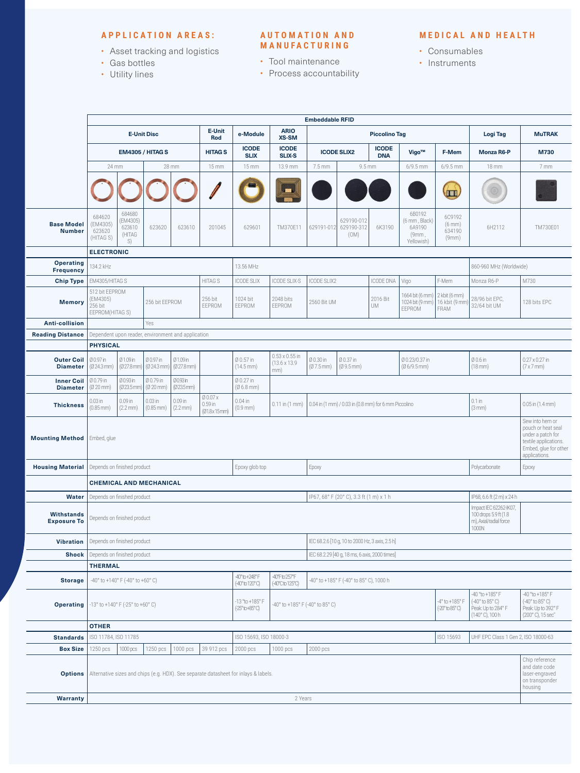## **APPLICATION AREAS:**

- Asset tracking and logistics
- Gas bottles
- Utility lines

#### **A U T O M A T I O N A N D MANUFACTURING**

## • Tool maintenance

• Process accountability

#### **MEDICAL AND HEALTH**

- Consumables
- Instruments

|                                         | <b>Embeddable RFID</b>                                                                                             |                                              |                                    |                                 |                                      |                                                  |                                                      |                                                      |                                                                    |                                                                                |                                                                                           |                                                                                       |                                                    |                      |  |
|-----------------------------------------|--------------------------------------------------------------------------------------------------------------------|----------------------------------------------|------------------------------------|---------------------------------|--------------------------------------|--------------------------------------------------|------------------------------------------------------|------------------------------------------------------|--------------------------------------------------------------------|--------------------------------------------------------------------------------|-------------------------------------------------------------------------------------------|---------------------------------------------------------------------------------------|----------------------------------------------------|----------------------|--|
|                                         | <b>E-Unit Disc</b>                                                                                                 |                                              |                                    | E-Unit<br><b>Rod</b>            | e-Module                             | <b>ARIO</b><br>XS-SM                             | <b>Piccolino Tag</b>                                 |                                                      |                                                                    |                                                                                | Logi Tag                                                                                  | <b>MuTRAK</b>                                                                         |                                                    |                      |  |
|                                         | <b>EM4305 / HITAG S</b>                                                                                            |                                              | <b>HITAGS</b>                      | <b>ICODE</b><br><b>SLIX</b>     | <b>ICODE</b><br><b>SLIX-S</b>        | <b>ICODE</b><br><b>ICODE SLIX2</b><br><b>DNA</b> |                                                      | Vigo™                                                | F-Mem                                                              | <b>Monza R6-P</b>                                                              | M730                                                                                      |                                                                                       |                                                    |                      |  |
|                                         | 28 mm<br>24 mm                                                                                                     |                                              | 15 mm                              | 15 mm                           | 13.9 mm                              | 7.5 mm                                           | 9.5 mm                                               |                                                      | $6/9.5$ mm                                                         | $6/9.5$ mm                                                                     | <b>18 mm</b>                                                                              | 7 mm                                                                                  |                                                    |                      |  |
|                                         |                                                                                                                    |                                              |                                    |                                 |                                      |                                                  |                                                      |                                                      |                                                                    |                                                                                |                                                                                           | $\sqrt{11}$                                                                           |                                                    |                      |  |
| <b>Base Model</b><br><b>Number</b>      | 684620<br>(EM4305)<br>623620<br>(HITAG S)                                                                          | 684680<br>(EM4305)<br>623610<br>(HITAG<br>S) | 623620                             | 623610                          | 201045                               | 629601                                           | TM370E11                                             | 629191-012                                           | 629190-012<br>629190-312<br>(OM)                                   | 6K3190                                                                         | 6B0192<br>(6 mm, Black)<br>6A9190<br>(9mm,<br>Yellowish)                                  | 6C9192<br>(6 mm)<br>634190<br>(9mm)                                                   | 6H2112                                             | TM730E01             |  |
|                                         | <b>ELECTRONIC</b>                                                                                                  |                                              |                                    |                                 |                                      |                                                  |                                                      |                                                      |                                                                    |                                                                                |                                                                                           |                                                                                       |                                                    |                      |  |
| <b>Operating</b><br><b>Frequency</b>    | 134.2 kHz                                                                                                          |                                              |                                    |                                 |                                      | 13.56 MHz                                        |                                                      |                                                      |                                                                    | 860-960 MHz (Worldwide)                                                        |                                                                                           |                                                                                       |                                                    |                      |  |
| <b>Chip Type</b>                        | HITAG S<br>EM4305/HITAG S                                                                                          |                                              |                                    |                                 |                                      | <b>ICODE SLIX</b>                                | ICODE SLIX-S                                         | <b>ICODE SLIX2</b><br><b>ICODE DNA</b><br>Vigo       |                                                                    |                                                                                | F-Mem                                                                                     | Monza R6-P                                                                            | M730                                               |                      |  |
| <b>Memory</b>                           | 512 bit EEPROM<br>(EM4305)<br>256 bit EEPROM<br>256 bit<br>EEPROM(HITAG S)                                         |                                              | 256 bit<br>EEPROM                  | 1024 bit<br>EEPROM              | 2048 bits<br>EEPROM                  | 2016 Bit<br>2560 Bit UM<br><b>UM</b>             |                                                      | 1664 bit (6 mm)<br>1024 bit (9 mm)<br>EEPROM         | $2$ kbit (6 mm)<br>16 kbit (9 mm<br>FRAM                           | 28/96 bit EPC,<br>32/64 bit UM                                                 | 128 bits EPC                                                                              |                                                                                       |                                                    |                      |  |
| <b>Anti-collision</b>                   | Yes                                                                                                                |                                              |                                    |                                 |                                      |                                                  |                                                      |                                                      |                                                                    |                                                                                |                                                                                           |                                                                                       |                                                    |                      |  |
| <b>Reading Distance</b>                 | Dependent upon reader, environment and application                                                                 |                                              |                                    |                                 |                                      |                                                  |                                                      |                                                      |                                                                    |                                                                                |                                                                                           |                                                                                       |                                                    |                      |  |
|                                         | <b>PHYSICAL</b>                                                                                                    |                                              |                                    |                                 |                                      |                                                  |                                                      |                                                      |                                                                    |                                                                                |                                                                                           |                                                                                       |                                                    |                      |  |
| <b>Outer Coil</b><br><b>Diameter</b>    | Ø 0.97 in<br>$(024.3$ mm)                                                                                          | Ø1.09in<br>(Ø27.8mm)                         | Ø 0.97 in<br>$(024.3 \text{ mm})$  | Ø1.09 in<br>$(027.8$ mm $)$     |                                      | Ø 0.57 in<br>$(14.5 \, \text{mm})$               | $0.53 \times 0.55$ in<br>$(13.6 \times 13.9)$<br>mm) | Ø 0.30 in<br>$(07.5$ mm)                             | Ø 0.37 in<br>Ø 0.23/0.37 in<br>$(09.5 \text{mm})$<br>$(06/9.5$ mm) |                                                                                |                                                                                           | Ø 0.6 in<br>$(18$ mm $)$                                                              | $0.27 \times 0.27$ in<br>$(7 \times 7 \text{ mm})$ |                      |  |
| <b>Inner Coil</b><br><b>Diameter</b>    | Ø 0.79 in<br>$(020$ mm)                                                                                            | Ø0.93 in<br>(Ø23.5mm)                        | Ø 0.79 in<br>$(020$ mm)            | Ø0.93 in<br>(023.5mm)           |                                      | Ø 0.27 in<br>$(06.8$ mm)                         |                                                      |                                                      |                                                                    |                                                                                |                                                                                           |                                                                                       |                                                    |                      |  |
| <b>Thickness</b>                        | $0.03$ in<br>$(0.85 \, \text{mm})$                                                                                 | 0.09 in<br>$(2.2 \text{ mm})$                | $0.03$ in<br>$(0.85 \, \text{mm})$ | $0.09$ in<br>$(2.2 \text{ mm})$ | Ø 0.07 x<br>$0.59$ in<br>(Ø1.8x15mm) | $0.04$ in<br>$(0.9 \, \text{mm})$                | $0.11$ in $(1$ mm $)$                                | 0.04 in (1 mm) / 0.03 in (0.8 mm) for 6 mm Piccolino |                                                                    |                                                                                |                                                                                           |                                                                                       | $0.1$ in<br>(3 mm)                                 | $0.05$ in $(1.4$ mm) |  |
| <b>Mounting Method</b>                  | Sew into hem or<br>under a patch for<br>Embed, glue                                                                |                                              |                                    |                                 |                                      |                                                  |                                                      |                                                      |                                                                    |                                                                                |                                                                                           | pouch or heat seal<br>textile applications.<br>Embed, glue for other<br>applications. |                                                    |                      |  |
| <b>Housing Material</b>                 | Depends on finished product<br>Epoxy glob top                                                                      |                                              |                                    |                                 |                                      | Epoxy                                            |                                                      |                                                      |                                                                    |                                                                                |                                                                                           | Polycarbonate                                                                         | Epoxy                                              |                      |  |
|                                         |                                                                                                                    | <b>CHEMICAL AND MECHANICAL</b>               |                                    |                                 |                                      |                                                  |                                                      |                                                      |                                                                    |                                                                                |                                                                                           |                                                                                       |                                                    |                      |  |
| Water                                   | Depends on finished product<br>IP67, 68° F (20° C), 3.3 ft (1 m) x 1 h                                             |                                              |                                    |                                 |                                      |                                                  |                                                      |                                                      | IP68, 6.6 ft (2 m) x 24 h                                          |                                                                                |                                                                                           |                                                                                       |                                                    |                      |  |
| <b>Withstands</b><br><b>Exposure To</b> | Impact IEC 62262-IK07,<br>100 drops 5.9 ft (1.8)<br>Depends on finished product<br>m), Axial/radial force<br>1000N |                                              |                                    |                                 |                                      |                                                  |                                                      |                                                      |                                                                    |                                                                                |                                                                                           |                                                                                       |                                                    |                      |  |
| <b>Vibration</b>                        | Depends on finished product                                                                                        |                                              |                                    |                                 |                                      |                                                  | IEC 68.2.6 [10 g, 10 to 2000 Hz, 3 axis, 2.5 h]      |                                                      |                                                                    |                                                                                |                                                                                           |                                                                                       |                                                    |                      |  |
| <b>Shock</b>                            | Depends on finished product                                                                                        |                                              |                                    |                                 |                                      |                                                  |                                                      | IEC 68.2.29 [40 g, 18 ms, 6 axis, 2000 times]        |                                                                    |                                                                                |                                                                                           |                                                                                       |                                                    |                      |  |
|                                         | <b>THERMAL</b>                                                                                                     |                                              |                                    |                                 |                                      |                                                  |                                                      |                                                      |                                                                    |                                                                                |                                                                                           |                                                                                       |                                                    |                      |  |
| <b>Storage</b>                          | $-40^{\circ}$ to $+140^{\circ}$ F ( $-40^{\circ}$ to $+60^{\circ}$ C)                                              |                                              |                                    |                                 |                                      | 40° to +248° F<br>(-40° to 120° C)               | 40°Fto257°F<br>(-40°C to 125°C)                      | -40° to +185° F (-40° to 85° C), 1000 h              |                                                                    |                                                                                |                                                                                           |                                                                                       |                                                    |                      |  |
| <b>Operating</b>                        | -13° to +140° F (-25° to +60° C)                                                                                   |                                              |                                    |                                 | -13 °to +185°F<br>(-25° to +85° C)   | -40° to +185° F (-40° to 85° C)                  |                                                      |                                                      | -4° to +185° F<br>$(-20° to 85° C)$                                | -40 °to +185° F<br>(-40° to 85° C)<br>Peak: Up to 284° F<br>(140°C), 100 h     | 40 °to +185° F<br>$(-40^\circ$ to $85^\circ$ C)<br>Peak: Up to 392° F<br>(200°C), 15 sec" |                                                                                       |                                                    |                      |  |
|                                         | <b>OTHER</b>                                                                                                       |                                              |                                    |                                 |                                      |                                                  |                                                      |                                                      |                                                                    |                                                                                |                                                                                           |                                                                                       |                                                    |                      |  |
| <b>Standards</b>                        | ISO 11784, ISO 11785<br>ISO 15693, ISO 18000-3                                                                     |                                              |                                    |                                 |                                      | ISO 15693<br>UHF EPC Class 1 Gen 2, ISO 18000-63 |                                                      |                                                      |                                                                    |                                                                                |                                                                                           |                                                                                       |                                                    |                      |  |
| <b>Box Size</b>                         | 1250 pcs                                                                                                           | 1000 pcs                                     | 1250 pcs                           | 1000 pcs                        | 39 912 pcs                           | 2000 pcs                                         | 1000 pcs                                             | 2000 pcs                                             |                                                                    |                                                                                |                                                                                           |                                                                                       |                                                    |                      |  |
| <b>Options</b>                          | Alternative sizes and chips (e.g. HDX). See separate datasheet for inlays & labels.                                |                                              |                                    |                                 |                                      |                                                  |                                                      |                                                      |                                                                    | Chip reference<br>and date code<br>laser-engraved<br>on transponder<br>housing |                                                                                           |                                                                                       |                                                    |                      |  |
| <b>Warranty</b>                         | 2 Years                                                                                                            |                                              |                                    |                                 |                                      |                                                  |                                                      |                                                      |                                                                    |                                                                                |                                                                                           |                                                                                       |                                                    |                      |  |
|                                         |                                                                                                                    |                                              |                                    |                                 |                                      |                                                  |                                                      |                                                      |                                                                    |                                                                                |                                                                                           |                                                                                       |                                                    |                      |  |